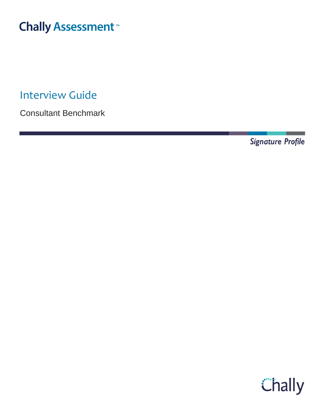# **Chally Assessment**

Interview Guide

Consultant Benchmark

Signature Profile

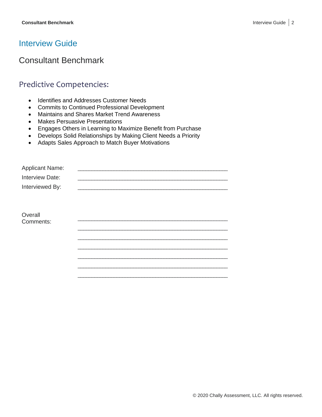# Interview Guide

# Consultant Benchmark

### Predictive Competencies:

- Identifies and Addresses Customer Needs
- Commits to Continued Professional Development
- Maintains and Shares Market Trend Awareness
- Makes Persuasive Presentations
- Engages Others in Learning to Maximize Benefit from Purchase
- Develops Solid Relationships by Making Client Needs a Priority
- Adapts Sales Approach to Match Buyer Motivations

| <b>Applicant Name:</b> |  |
|------------------------|--|
| Interview Date:        |  |
| Interviewed By:        |  |
|                        |  |
|                        |  |
| Overall                |  |
| Comments:              |  |
|                        |  |
|                        |  |
|                        |  |
|                        |  |
|                        |  |
|                        |  |
|                        |  |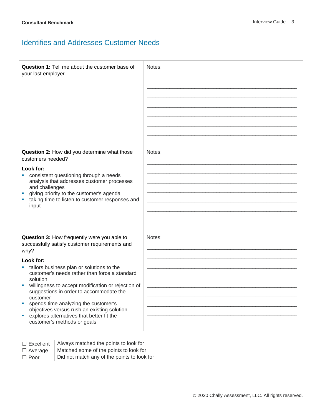### Identifies and Addresses Customer Needs

| <b>Question 1:</b> Tell me about the customer base of<br>your last employer.                                                                                                                                                                                                                                                                                                                                                                                                                                           | Notes: |
|------------------------------------------------------------------------------------------------------------------------------------------------------------------------------------------------------------------------------------------------------------------------------------------------------------------------------------------------------------------------------------------------------------------------------------------------------------------------------------------------------------------------|--------|
| Question 2: How did you determine what those<br>customers needed?<br>Look for:<br>• consistent questioning through a needs<br>analysis that addresses customer processes<br>and challenges<br>giving priority to the customer's agenda<br>taking time to listen to customer responses and<br>input                                                                                                                                                                                                                     | Notes: |
| Question 3: How frequently were you able to<br>successfully satisfy customer requirements and<br>why?<br>Look for:<br>tailors business plan or solutions to the<br>customer's needs rather than force a standard<br>solution<br>willingness to accept modification or rejection of<br>suggestions in order to accommodate the<br>customer<br>spends time analyzing the customer's<br>×<br>objectives versus rush an existing solution<br>explores alternatives that better fit the<br>×<br>customer's methods or goals | Notes: |

☐ Excellent Always matched the points to look for  $\Box$  Average  $\parallel$  Matched some of the points to look for

 $\Box$  Poor  $\Box$  Did not match any of the points to look for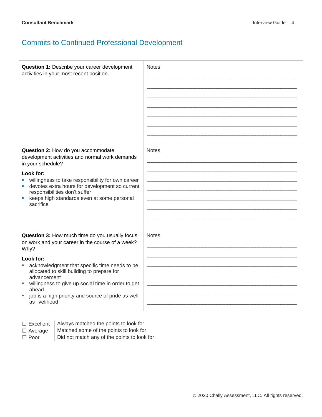# Commits to Continued Professional Development

| Question 1: Describe your career development<br>activities in your most recent position.                                                                                                                                                                                                                                                                                    | Notes: |
|-----------------------------------------------------------------------------------------------------------------------------------------------------------------------------------------------------------------------------------------------------------------------------------------------------------------------------------------------------------------------------|--------|
| Question 2: How do you accommodate<br>development activities and normal work demands<br>in your schedule?<br>Look for:<br>willingness to take responsibility for own career<br>devotes extra hours for development so current<br>responsibilities don't suffer<br>keeps high standards even at some personal<br>ш<br>sacrifice                                              | Notes: |
| Question 3: How much time do you usually focus<br>on work and your career in the course of a week?<br>Why?<br>Look for:<br>acknowledgment that specific time needs to be<br>allocated to skill building to prepare for<br>advancement<br>willingness to give up social time in order to get<br>ahead<br>job is a high priority and source of pride as well<br>as livelihood | Notes: |

- ☐ Excellent Always matched the points to look for
- $\Box$  Average  $\parallel$  Matched some of the points to look for
- 
- $\Box$  Poor  $\Box$  Did not match any of the points to look for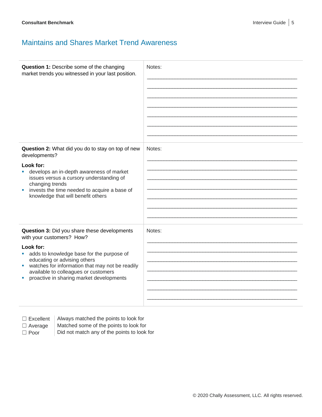## Maintains and Shares Market Trend Awareness

| Question 1: Describe some of the changing<br>market trends you witnessed in your last position.                                                                                                                                                                                                                 | Notes: |
|-----------------------------------------------------------------------------------------------------------------------------------------------------------------------------------------------------------------------------------------------------------------------------------------------------------------|--------|
| Question 2: What did you do to stay on top of new<br>developments?<br>Look for:<br>develops an in-depth awareness of market<br>issues versus a cursory understanding of<br>changing trends<br>invests the time needed to acquire a base of<br>×<br>knowledge that will benefit others                           | Notes: |
| Question 3: Did you share these developments<br>with your customers? How?<br>Look for:<br>adds to knowledge base for the purpose of<br>educating or advising others<br>watches for information that may not be readily<br>ш<br>available to colleagues or customers<br>proactive in sharing market developments | Notes: |

 $\Box$  Excellent  $\parallel$  Always matched the points to look for

 $\Box$  Average  $\parallel$  Matched some of the points to look for  $\Box$  Poor  $\Box$  Did not match any of the points to look for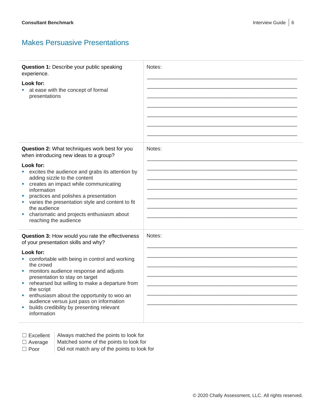### Makes Persuasive Presentations

| Question 1: Describe your public speaking<br>experience.                                 | Notes: |
|------------------------------------------------------------------------------------------|--------|
| Look for:                                                                                |        |
| at ease with the concept of formal<br>presentations                                      |        |
|                                                                                          |        |
|                                                                                          |        |
|                                                                                          |        |
|                                                                                          |        |
|                                                                                          |        |
|                                                                                          |        |
| Question 2: What techniques work best for you<br>when introducing new ideas to a group?  | Notes: |
| Look for:                                                                                |        |
| excites the audience and grabs its attention by                                          |        |
| adding sizzle to the content                                                             |        |
| creates an impact while communicating<br>ш<br>information                                |        |
| practices and polishes a presentation                                                    |        |
| varies the presentation style and content to fit                                         |        |
| the audience                                                                             |        |
| charismatic and projects enthusiasm about                                                |        |
| reaching the audience                                                                    |        |
| Question 3: How would you rate the effectiveness<br>of your presentation skills and why? | Notes: |
| Look for:                                                                                |        |
| comfortable with being in control and working                                            |        |
| the crowd                                                                                |        |
| monitors audience response and adjusts                                                   |        |
| presentation to stay on target<br>rehearsed but willing to make a departure from         |        |
| the script                                                                               |        |
| enthusiasm about the opportunity to woo an<br>×.                                         |        |
| audience versus just pass on information                                                 |        |
| builds credibility by presenting relevant<br>ш<br>information                            |        |
|                                                                                          |        |

 $\Box$  Excellent | Always matched the points to look for

- $\Box$  Average  $\parallel$  Matched some of the points to look for
- $\Box$  Poor  $\Box$  Did not match any of the points to look for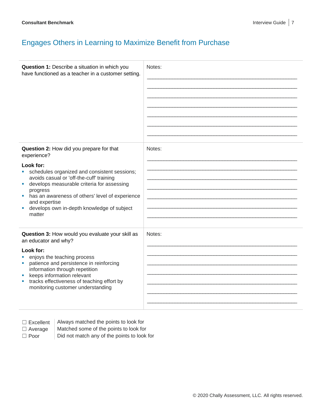# Engages Others in Learning to Maximize Benefit from Purchase

| Question 1: Describe a situation in which you<br>have functioned as a teacher in a customer setting.                                                                                                                                                                                                                         | Notes: |
|------------------------------------------------------------------------------------------------------------------------------------------------------------------------------------------------------------------------------------------------------------------------------------------------------------------------------|--------|
| Question 2: How did you prepare for that<br>experience?                                                                                                                                                                                                                                                                      | Notes: |
| Look for:<br>• schedules organized and consistent sessions;<br>avoids casual or 'off-the-cuff' training<br>develops measurable criteria for assessing<br>ш<br>progress<br>has an awareness of others' level of experience<br>ш<br>and expertise<br>develops own in-depth knowledge of subject<br>ш<br>matter                 |        |
| Question 3: How would you evaluate your skill as<br>an educator and why?<br>Look for:<br>enjoys the teaching process<br>patience and persistence in reinforcing<br>ш<br>information through repetition<br>keeps information relevant<br>tracks effectiveness of teaching effort by<br>ш<br>monitoring customer understanding | Notes: |

 $\Box$  Excellent  $\parallel$  Always matched the points to look for

 $\Box$  Average  $\parallel$  Matched some of the points to look for  $\Box$  Poor  $\Box$  Did not match any of the points to look for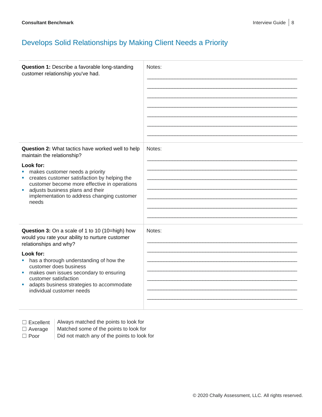# Develops Solid Relationships by Making Client Needs a Priority

| Question 1: Describe a favorable long-standing<br>customer relationship you've had.                                                                                                                                                                                                                                                                              | Notes: |
|------------------------------------------------------------------------------------------------------------------------------------------------------------------------------------------------------------------------------------------------------------------------------------------------------------------------------------------------------------------|--------|
| Question 2: What tactics have worked well to help<br>maintain the relationship?<br>Look for:<br>makes customer needs a priority<br>ш<br>creates customer satisfaction by helping the<br>ш<br>customer become more effective in operations<br>adjusts business plans and their<br>×<br>implementation to address changing customer<br>needs                       | Notes: |
| Question 3: On a scale of 1 to 10 (10=high) how<br>would you rate your ability to nurture customer<br>relationships and why?<br>Look for:<br>has a thorough understanding of how the<br>customer does business<br>makes own issues secondary to ensuring<br>customer satisfaction<br>adapts business strategies to accommodate<br>×<br>individual customer needs | Notes: |

 $\Box$  Excellent | Always matched the points to look for

- $\Box$  Average  $\parallel$  Matched some of the points to look for
- $\Box$  Poor  $\Box$  Did not match any of the points to look for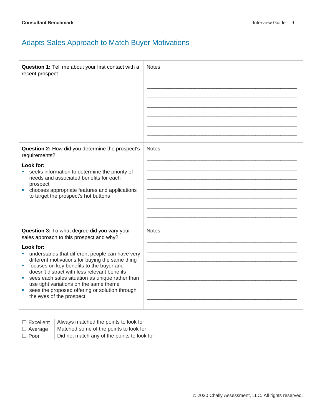# Adapts Sales Approach to Match Buyer Motivations

| Question 1: Tell me about your first contact with a<br>recent prospect.                                                                                                                                                                                                                                                                                                                                                                                                                            | Notes: |
|----------------------------------------------------------------------------------------------------------------------------------------------------------------------------------------------------------------------------------------------------------------------------------------------------------------------------------------------------------------------------------------------------------------------------------------------------------------------------------------------------|--------|
| Question 2: How did you determine the prospect's<br>requirements?<br>Look for:<br>seeks information to determine the priority of<br>needs and associated benefits for each<br>prospect<br>chooses appropriate features and applications<br>to target the prospect's hot buttons                                                                                                                                                                                                                    | Notes: |
| Question 3: To what degree did you vary your<br>sales approach to this prospect and why?<br>Look for:<br>understands that different people can have very<br>a.<br>different motivations for buying the same thing<br>focuses on key benefits to the buyer and<br>ш<br>doesn't distract with less relevant benefits<br>sees each sales situation as unique rather than<br>use tight variations on the same theme<br>sees the proposed offering or solution through<br>ш<br>the eyes of the prospect | Notes: |

 $\Box$  Excellent  $\parallel$  Always matched the points to look for

 $\Box$  Average  $\parallel$  Matched some of the points to look for

 $\Box$  Poor  $\Box$  Did not match any of the points to look for